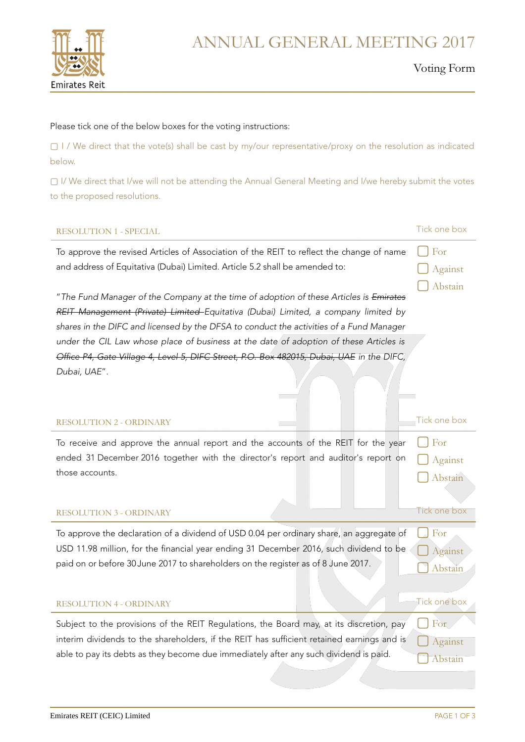

## ANNUAL GENERAL MEETING 2017

#### Voting Form

**▢** Abstain

# Please tick one of the below boxes for the voting instructions:

▢ I / We direct that the vote(s) shall be cast by my/our representative/proxy on the resolution as indicated below.

▢ I/ We direct that I/we will not be attending the Annual General Meeting and I/we hereby submit the votes to the proposed resolutions.

#### RESOLUTION 1 - SPECIAL Tick one box

To approve the revised Articles of Association of the REIT to reflect the change of name and address of Equitativa (Dubai) Limited. Article 5.2 shall be amended to: **▢** For **▢** Against

"The Fund Manager of the Company at the time of adoption of these Articles is Emirates REIT Management (Private) Limited Equitativa (Dubai) Limited, a company limited by shares in the DIFC and licensed by the DFSA to conduct the activities of a Fund Manager under the CIL Law whose place of business at the date of adoption of these Articles is Office P4, Gate Village 4, Level 5, DIFC Street, P.O. Box 482015, Dubai, UAE in the DIFC, Dubai, UAE".

#### RESOLUTION 2 - ORDINARY THE RESOLUTION 2 - ORDINARY

| To receive and approve the annual report and the accounts of the REIT for the year $\bigcap$ For     |         |
|------------------------------------------------------------------------------------------------------|---------|
| ended 31 December 2016 together with the director's report and auditor's report on $\bigcap$ Against |         |
| those accounts.                                                                                      | Abstain |

#### RESOLUTION 3 - ORDINARY Tick one box

| To approve the declaration of a dividend of USD 0.04 per ordinary share, an aggregate of |
|------------------------------------------------------------------------------------------|
| USD 11.98 million, for the financial year ending 31 December 2016, such dividend to be   |
| paid on or before 30 June 2017 to shareholders on the register as of 8 June 2017.        |

#### RESOLUTION 4 - ORDINARY THE RESOLUTION 4 - ORDINARY

Subject to the provisions of the REIT Regulations, the Board may, at its discretion, pay interim dividends to the shareholders, if the REIT has sufficient retained earnings and is able to pay its debts as they become due immediately after any such dividend is paid.

**▢** For

**▢** For

**▢** Against **▢**Abstain

**▢** Against **▢**Abstain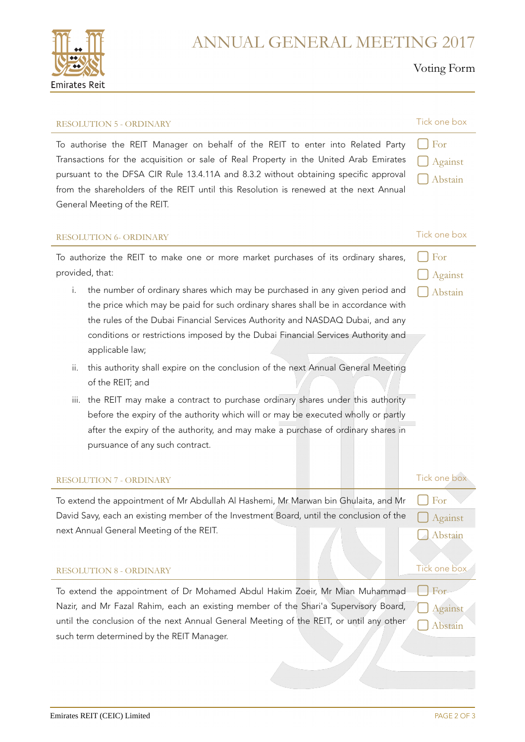

### ANNUAL GENERAL MEETING 2017

### Voting Form

| <b>RESOLUTION 5 - ORDINARY</b>                                                                                                                                                                                                                                                                                                                                                                                                                                                                                                                                                                                                                                                                                                                                                                                                                                                              | Tick one box                              |
|---------------------------------------------------------------------------------------------------------------------------------------------------------------------------------------------------------------------------------------------------------------------------------------------------------------------------------------------------------------------------------------------------------------------------------------------------------------------------------------------------------------------------------------------------------------------------------------------------------------------------------------------------------------------------------------------------------------------------------------------------------------------------------------------------------------------------------------------------------------------------------------------|-------------------------------------------|
| To authorise the REIT Manager on behalf of the REIT to enter into Related Party<br>Transactions for the acquisition or sale of Real Property in the United Arab Emirates<br>pursuant to the DFSA CIR Rule 13.4.11A and 8.3.2 without obtaining specific approval<br>from the shareholders of the REIT until this Resolution is renewed at the next Annual<br>General Meeting of the REIT.                                                                                                                                                                                                                                                                                                                                                                                                                                                                                                   | For<br>Against<br>Abstain                 |
| <b>RESOLUTION 6- ORDINARY</b>                                                                                                                                                                                                                                                                                                                                                                                                                                                                                                                                                                                                                                                                                                                                                                                                                                                               | Tick one box                              |
| To authorize the REIT to make one or more market purchases of its ordinary shares,<br>provided, that:<br>the number of ordinary shares which may be purchased in any given period and<br>i.<br>the price which may be paid for such ordinary shares shall be in accordance with<br>the rules of the Dubai Financial Services Authority and NASDAQ Dubai, and any<br>conditions or restrictions imposed by the Dubai Financial Services Authority and<br>applicable law;<br>this authority shall expire on the conclusion of the next Annual General Meeting<br>ii.<br>of the REIT; and<br>the REIT may make a contract to purchase ordinary shares under this authority<br>iii.<br>before the expiry of the authority which will or may be executed wholly or partly<br>after the expiry of the authority, and may make a purchase of ordinary shares in<br>pursuance of any such contract. | For<br>Against<br>Abstain                 |
| <b>RESOLUTION 7 - ORDINARY</b>                                                                                                                                                                                                                                                                                                                                                                                                                                                                                                                                                                                                                                                                                                                                                                                                                                                              | Tick one box                              |
| To extend the appointment of Mr Abdullah Al Hashemi, Mr Marwan bin Ghulaita, and Mr<br>David Savy, each an existing member of the Investment Board, until the conclusion of the<br>next Annual General Meeting of the REIT.<br><b>RESOLUTION 8 - ORDINARY</b>                                                                                                                                                                                                                                                                                                                                                                                                                                                                                                                                                                                                                               | For<br>Against<br>Abstain<br>Tick one box |
| To extend the appointment of Dr Mohamed Abdul Hakim Zoeir, Mr Mian Muhammad<br>Nazir, and Mr Fazal Rahim, each an existing member of the Shari'a Supervisory Board,<br>until the conclusion of the next Annual General Meeting of the REIT, or until any other<br>such term determined by the REIT Manager.                                                                                                                                                                                                                                                                                                                                                                                                                                                                                                                                                                                 | For<br>Against<br>Abstain                 |